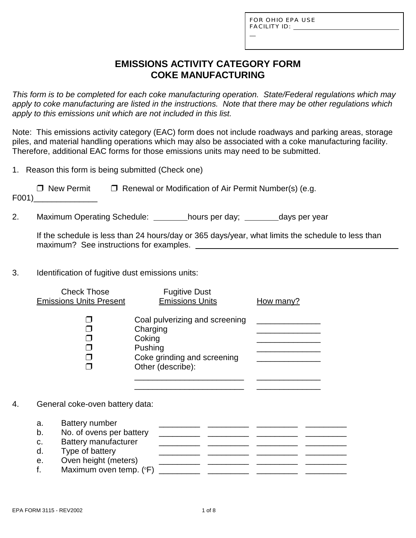L

# **EMISSIONS ACTIVITY CATEGORY FORM COKE MANUFACTURING**

*This form is to be completed for each coke manufacturing operation. State/Federal regulations which may apply to coke manufacturing are listed in the instructions. Note that there may be other regulations which apply to this emissions unit which are not included in this list.*

Note: This emissions activity category (EAC) form does not include roadways and parking areas, storage piles, and material handling operations which may also be associated with a coke manufacturing facility. Therefore, additional EAC forms for those emissions units may need to be submitted.

1. Reason this form is being submitted (Check one)

| □ New Permit | $\Box$ Renewal or Modification of Air Permit Number(s) (e.g. |
|--------------|--------------------------------------------------------------|
| F001)        |                                                              |

2. Maximum Operating Schedule: \_\_\_\_\_\_\_hours per day; \_\_\_\_\_\_\_days per year

If the schedule is less than 24 hours/day or 365 days/year, what limits the schedule to less than maximum? See instructions for examples.

3. Identification of fugitive dust emissions units:

|    |                            | <b>Check Those</b><br><b>Emissions Units Present</b>                                                                        | <b>Fugitive Dust</b><br><b>Emissions Units</b>                                                                      | How many? |
|----|----------------------------|-----------------------------------------------------------------------------------------------------------------------------|---------------------------------------------------------------------------------------------------------------------|-----------|
|    |                            |                                                                                                                             | Coal pulverizing and screening<br>Charging<br>Coking<br>Pushing<br>Coke grinding and screening<br>Other (describe): |           |
| 4. |                            | General coke-oven battery data:                                                                                             |                                                                                                                     |           |
|    | a.<br>b.<br>C.<br>d.<br>е. | <b>Battery number</b><br>No. of ovens per battery<br><b>Battery manufacturer</b><br>Type of battery<br>Oven height (meters) |                                                                                                                     |           |

f. Maximum oven temp. (o F) \_\_\_\_\_\_\_\_\_ \_\_\_\_\_\_\_\_\_ \_\_\_\_\_\_\_\_\_ \_\_\_\_\_\_\_\_\_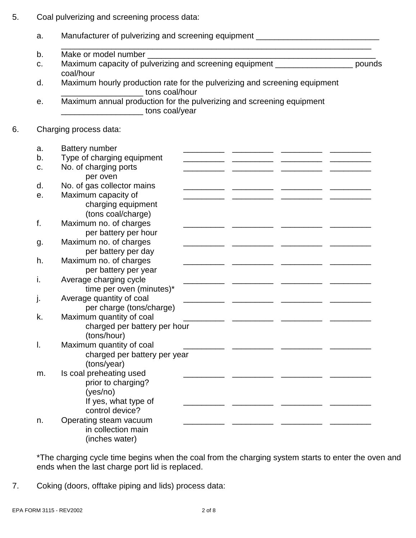5. Coal pulverizing and screening process data:

|    | a. | Manufacturer of pulverizing and screening equipment ____________________________                            |  |  |
|----|----|-------------------------------------------------------------------------------------------------------------|--|--|
|    | b. |                                                                                                             |  |  |
|    | C. | coal/hour                                                                                                   |  |  |
|    | d. | Maximum hourly production rate for the pulverizing and screening equipment<br>tons coal/hour                |  |  |
|    | е. | Maximum annual production for the pulverizing and screening equipment<br><b>Example 2016</b> tons coal/year |  |  |
| 6. |    | Charging process data:                                                                                      |  |  |
|    | a. | <b>Battery number</b>                                                                                       |  |  |
|    | b. | Type of charging equipment                                                                                  |  |  |
|    | c. | No. of charging ports<br>per oven                                                                           |  |  |
|    | d. | No. of gas collector mains                                                                                  |  |  |
|    | е. | Maximum capacity of                                                                                         |  |  |
|    |    | charging equipment<br>(tons coal/charge)                                                                    |  |  |
|    | f. | Maximum no. of charges                                                                                      |  |  |
|    |    | per battery per hour                                                                                        |  |  |
|    | g. | Maximum no. of charges                                                                                      |  |  |
|    |    | per battery per day                                                                                         |  |  |
|    | h. | Maximum no. of charges<br>per battery per year                                                              |  |  |
|    | i. | Average charging cycle                                                                                      |  |  |
|    |    | time per oven (minutes)*                                                                                    |  |  |
|    | j. | Average quantity of coal                                                                                    |  |  |
|    |    | per charge (tons/charge)                                                                                    |  |  |
|    | k. | Maximum quantity of coal                                                                                    |  |  |
|    |    | charged per battery per hour                                                                                |  |  |
|    |    | (tons/hour)                                                                                                 |  |  |
|    | I. | Maximum quantity of coal                                                                                    |  |  |
|    |    | charged per battery per year<br>(tons/year)                                                                 |  |  |
|    | m. | Is coal preheating used                                                                                     |  |  |
|    |    | prior to charging?                                                                                          |  |  |
|    |    | (yes/no)                                                                                                    |  |  |
|    |    | If yes, what type of                                                                                        |  |  |
|    |    | control device?                                                                                             |  |  |
|    | n. | Operating steam vacuum                                                                                      |  |  |
|    |    | in collection main                                                                                          |  |  |
|    |    | (inches water)                                                                                              |  |  |

\*The charging cycle time begins when the coal from the charging system starts to enter the oven and ends when the last charge port lid is replaced.

7. Coking (doors, offtake piping and lids) process data: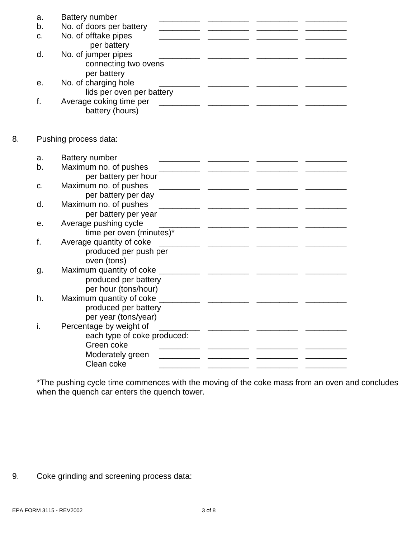|    | a. | <b>Battery number</b>       |  |
|----|----|-----------------------------|--|
|    | b. | No. of doors per battery    |  |
|    | C. | No. of offtake pipes        |  |
|    |    | per battery                 |  |
|    | d. | No. of jumper pipes         |  |
|    |    | connecting two ovens        |  |
|    |    | per battery                 |  |
|    | е. | No. of charging hole        |  |
|    |    | lids per oven per battery   |  |
|    | f. | Average coking time per     |  |
|    |    | battery (hours)             |  |
|    |    |                             |  |
| 8. |    | Pushing process data:       |  |
|    |    |                             |  |
|    | a. | <b>Battery number</b>       |  |
|    | b. | Maximum no. of pushes       |  |
|    |    | per battery per hour        |  |
|    | c. | Maximum no. of pushes       |  |
|    |    | per battery per day         |  |
|    | d. | Maximum no. of pushes       |  |
|    |    | per battery per year        |  |
|    | е. | Average pushing cycle       |  |
|    |    | time per oven (minutes)*    |  |
|    | f. | Average quantity of coke    |  |
|    |    | produced per push per       |  |
|    |    | oven (tons)                 |  |
|    | g. | Maximum quantity of coke    |  |
|    |    | produced per battery        |  |
|    |    | per hour (tons/hour)        |  |
|    | h. | Maximum quantity of coke    |  |
|    |    | produced per battery        |  |
|    |    | per year (tons/year)        |  |
|    | i. | Percentage by weight of     |  |
|    |    | each type of coke produced: |  |
|    |    | Green coke                  |  |
|    |    | Moderately green            |  |
|    |    | Clean coke                  |  |

\*The pushing cycle time commences with the moving of the coke mass from an oven and concludes when the quench car enters the quench tower.

9. Coke grinding and screening process data: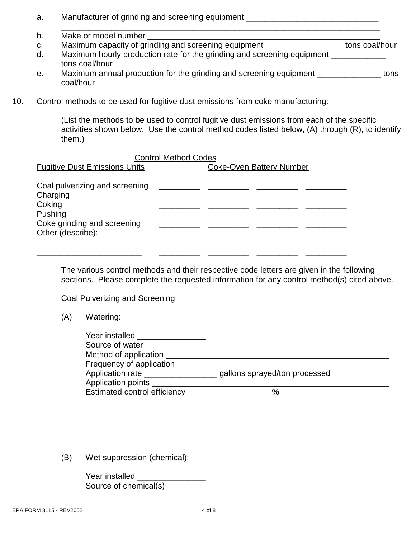- a. Manufacturer of grinding and screening equipment \_\_\_\_\_\_\_\_\_\_\_\_\_\_\_\_\_\_\_\_\_\_\_\_\_\_\_\_
- \_\_\_\_\_\_\_\_\_\_\_\_\_\_\_\_\_\_\_\_\_\_\_\_\_\_\_\_\_\_\_\_\_\_\_\_\_\_\_\_\_\_\_\_\_\_\_\_\_\_\_\_\_\_\_\_\_\_\_\_\_\_\_\_\_\_\_\_\_\_ b. Make or model number
- c. Maximum capacity of grinding and screening equipment \_\_\_\_\_\_\_\_\_\_\_\_\_\_\_\_\_ tons coal/hour d. Maximum hourly production rate for the grinding and screening equipment \_\_\_\_\_\_\_\_\_\_\_ tons coal/hour
- e. Maximum annual production for the grinding and screening equipment \_\_\_\_\_\_\_\_\_\_\_\_\_\_\_ tons coal/hour
- 10. Control methods to be used for fugitive dust emissions from coke manufacturing:

(List the methods to be used to control fugitive dust emissions from each of the specific activities shown below. Use the control method codes listed below, (A) through (R), to identify them.)

### Control Method Codes

| <b>Fugitive Dust Emissions Units</b>                                                                                | <b>Coke-Oven Battery Number</b> |  |  |
|---------------------------------------------------------------------------------------------------------------------|---------------------------------|--|--|
| Coal pulverizing and screening<br>Charging<br>Coking<br>Pushing<br>Coke grinding and screening<br>Other (describe): |                                 |  |  |
|                                                                                                                     |                                 |  |  |

The various control methods and their respective code letters are given in the following sections. Please complete the requested information for any control method(s) cited above.

#### Coal Pulverizing and Screening

(A) Watering:

| Year installed<br>Source of water |                               |  |
|-----------------------------------|-------------------------------|--|
| Method of application             |                               |  |
| Frequency of application          |                               |  |
| Application rate                  | gallons sprayed/ton processed |  |
| Application points                |                               |  |
| Estimated control efficiency      | %                             |  |

(B) Wet suppression (chemical):

| Year installed        |  |
|-----------------------|--|
| Source of chemical(s) |  |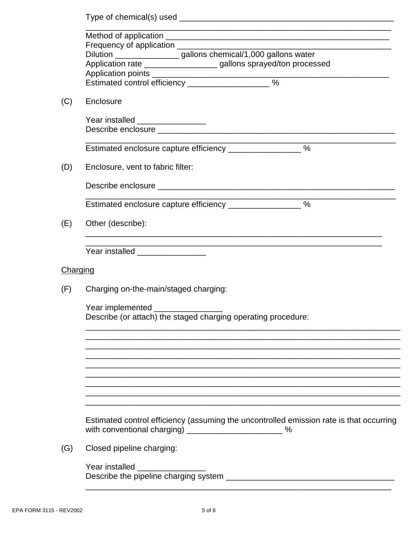|          | Frequency of application _________________                                                                                                          |  |  |
|----------|-----------------------------------------------------------------------------------------------------------------------------------------------------|--|--|
|          | Dilution ___________________gallons chemical/1,000 gallons water<br>Application rate _____________________ gallons sprayed/ton processed            |  |  |
|          | Estimated control efficiency _______________________%                                                                                               |  |  |
| (C)      | Enclosure                                                                                                                                           |  |  |
|          | Year installed _________________                                                                                                                    |  |  |
|          | Estimated enclosure capture efficiency ___________________%                                                                                         |  |  |
| (D)      | Enclosure, vent to fabric filter:                                                                                                                   |  |  |
|          | Estimated enclosure capture efficiency ___________________%                                                                                         |  |  |
| (E)      | Other (describe):                                                                                                                                   |  |  |
|          | Year installed _________________                                                                                                                    |  |  |
| Charging |                                                                                                                                                     |  |  |
| (F)      | Charging on-the-main/staged charging:                                                                                                               |  |  |
|          | Year implemented ________<br>Describe (or attach) the staged charging operating procedure:                                                          |  |  |
|          |                                                                                                                                                     |  |  |
|          |                                                                                                                                                     |  |  |
|          |                                                                                                                                                     |  |  |
|          | Estimated control efficiency (assuming the uncontrolled emission rate is that occurring<br>with conventional charging) ___________________________% |  |  |
| (G)      | Closed pipeline charging:                                                                                                                           |  |  |
|          | Year installed                                                                                                                                      |  |  |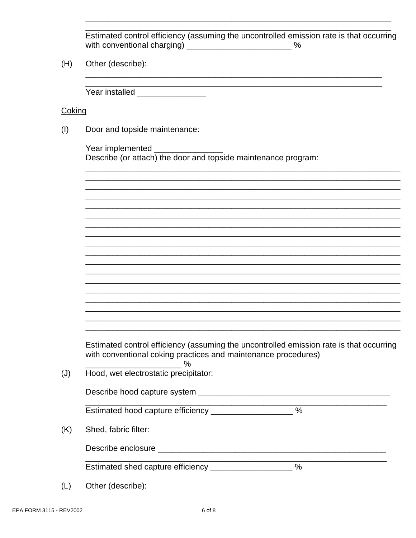Estimated control efficiency (assuming the uncontrolled emission rate is that occurring with conventional charging) \_\_\_\_\_\_\_\_\_\_\_\_\_\_\_\_\_\_\_\_\_\_\_\_\_\_\_\_\_%

 $(H)$ Other (describe):

Year installed \_\_\_\_\_\_\_\_\_\_\_\_\_\_\_

Coking

 $(I)$ Door and topside maintenance:

> Year implemented expansion of the state of the state of the state of the state of the state of the state of the Describe (or attach) the door and topside maintenance program:

| Estimated control efficiency (assuming the uncontrolled emission rate is that occurring |
|-----------------------------------------------------------------------------------------|
| with conventional coking practices and maintenance procedures)                          |

<u> 1989 - Johann Barbara, martxa a</u>

 $\%$ 

 $(J)$ Hood, wet electrostatic precipitator:

Estimated hood capture efficiency \_\_\_\_\_\_\_\_\_\_\_\_\_\_\_\_\_\_\_\_ %

 $(K)$ Shed, fabric filter:

Describe enclosure experience and the set of the set of the set of the set of the set of the set of the set of the set of the set of the set of the set of the set of the set of the set of the set of the set of the set of t

Estimated shed capture efficiency \_\_\_\_\_\_\_\_\_\_\_\_\_\_\_\_\_\_\_%

 $(L)$ Other (describe):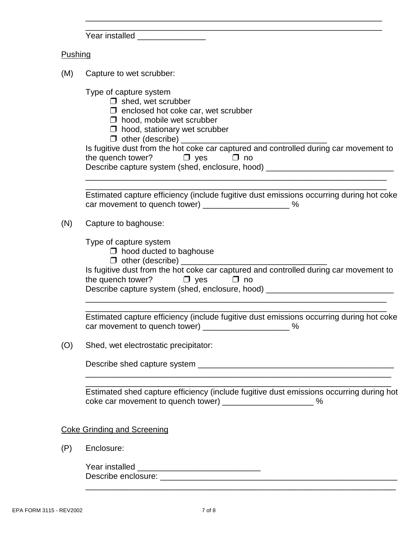| Year installed |  |  |
|----------------|--|--|

### **Pushing**

| (M) | Capture to wet scrubber:                                                                                                                                                                                                                                                                                                                                                                             |
|-----|------------------------------------------------------------------------------------------------------------------------------------------------------------------------------------------------------------------------------------------------------------------------------------------------------------------------------------------------------------------------------------------------------|
|     | Type of capture system<br>$\Box$ shed, wet scrubber<br>$\Box$ enclosed hot coke car, wet scrubber<br>$\Box$ hood, mobile wet scrubber<br>$\Box$ hood, stationary wet scrubber<br>Is fugitive dust from the hot coke car captured and controlled during car movement to<br>the quench tower? $\Box$ yes $\Box$ no<br>Describe capture system (shed, enclosure, hood) ________________________________ |
|     | Estimated capture efficiency (include fugitive dust emissions occurring during hot coke<br>car movement to quench tower) ________________________%                                                                                                                                                                                                                                                   |
| (N) | Capture to baghouse:                                                                                                                                                                                                                                                                                                                                                                                 |
|     | Type of capture system<br>$\Box$ hood ducted to baghouse<br>$\Box$ other (describe) _________<br>Is fugitive dust from the hot coke car captured and controlled during car movement to<br>the quench tower? $\Box$ yes $\Box$ no<br>Describe capture system (shed, enclosure, hood) ________________________________                                                                                 |
|     | Estimated capture efficiency (include fugitive dust emissions occurring during hot coke<br>car movement to quench tower) _______________________%                                                                                                                                                                                                                                                    |
| (O) | Shed, wet electrostatic precipitator:                                                                                                                                                                                                                                                                                                                                                                |
|     | Describe shed capture system                                                                                                                                                                                                                                                                                                                                                                         |
|     | Estimated shed capture efficiency (include fugitive dust emissions occurring during hot<br>coke car movement to quench tower) _______________________ %                                                                                                                                                                                                                                              |
|     | <b>Coke Grinding and Screening</b>                                                                                                                                                                                                                                                                                                                                                                   |
| (P) | Enclosure:                                                                                                                                                                                                                                                                                                                                                                                           |
|     | Year installed _________________________________                                                                                                                                                                                                                                                                                                                                                     |

\_\_\_\_\_\_\_\_\_\_\_\_\_\_\_\_\_\_\_\_\_\_\_\_\_\_\_\_\_\_\_\_\_\_\_\_\_\_\_\_\_\_\_\_\_\_\_\_\_\_\_\_\_\_\_\_\_\_\_\_\_\_\_\_\_

\_\_\_\_\_\_\_\_\_\_\_\_\_\_\_\_\_\_\_\_\_\_\_\_\_\_\_\_\_\_\_\_\_\_\_\_\_\_\_\_\_\_\_\_\_\_\_\_\_\_\_\_\_\_\_\_\_\_\_\_\_\_\_\_\_\_\_\_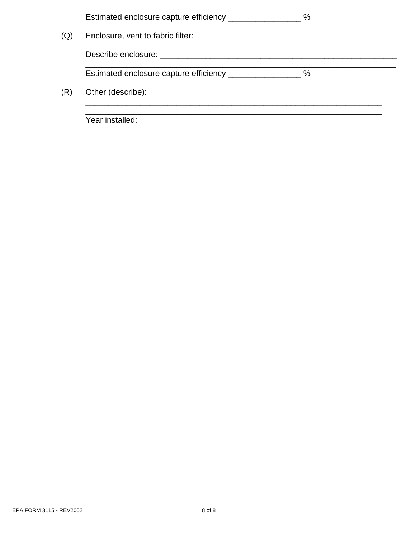|     | Estimated enclosure capture efficiency ______________                                                                                                                                                                          | $\%$ |
|-----|--------------------------------------------------------------------------------------------------------------------------------------------------------------------------------------------------------------------------------|------|
| (Q) | Enclosure, vent to fabric filter:                                                                                                                                                                                              |      |
|     | Describe enclosure: Network and the set of the set of the set of the set of the set of the set of the set of the set of the set of the set of the set of the set of the set of the set of the set of the set of the set of the |      |
|     | Estimated enclosure capture efficiency __________________%                                                                                                                                                                     |      |
| (R) | Other (describe):                                                                                                                                                                                                              |      |
|     |                                                                                                                                                                                                                                |      |
|     | Year installed:                                                                                                                                                                                                                |      |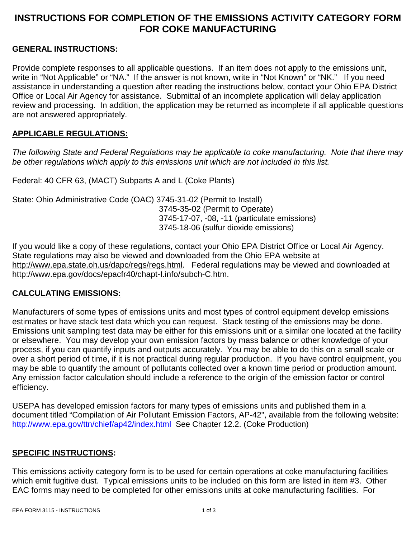# **INSTRUCTIONS FOR COMPLETION OF THE EMISSIONS ACTIVITY CATEGORY FORM FOR COKE MANUFACTURING**

### **GENERAL INSTRUCTIONS:**

Provide complete responses to all applicable questions. If an item does not apply to the emissions unit, write in "Not Applicable" or "NA." If the answer is not known, write in "Not Known" or "NK." If you need assistance in understanding a question after reading the instructions below, contact your Ohio EPA District Office or Local Air Agency for assistance. Submittal of an incomplete application will delay application review and processing. In addition, the application may be returned as incomplete if all applicable questions are not answered appropriately.

### **APPLICABLE REGULATIONS:**

*The following State and Federal Regulations may be applicable to coke manufacturing. Note that there may be other regulations which apply to this emissions unit which are not included in this list.*

Federal: 40 CFR 63, (MACT) Subparts A and L (Coke Plants)

State: Ohio Administrative Code (OAC) 3745-31-02 (Permit to Install) 3745-35-02 (Permit to Operate) 3745-17-07, -08, -11 (particulate emissions) 3745-18-06 (sulfur dioxide emissions)

If you would like a copy of these regulations, contact your Ohio EPA District Office or Local Air Agency. State regulations may also be viewed and downloaded from the Ohio EPA website at http://www.epa.state.oh.us/dapc/regs/regs.html. Federal regulations may be viewed and downloaded at http://www.epa.gov/docs/epacfr40/chapt-I.info/subch-C.htm.

#### **CALCULATING EMISSIONS:**

Manufacturers of some types of emissions units and most types of control equipment develop emissions estimates or have stack test data which you can request. Stack testing of the emissions may be done. Emissions unit sampling test data may be either for this emissions unit or a similar one located at the facility or elsewhere. You may develop your own emission factors by mass balance or other knowledge of your process, if you can quantify inputs and outputs accurately. You may be able to do this on a small scale or over a short period of time, if it is not practical during regular production. If you have control equipment, you may be able to quantify the amount of pollutants collected over a known time period or production amount. Any emission factor calculation should include a reference to the origin of the emission factor or control efficiency.

USEPA has developed emission factors for many types of emissions units and published them in a document titled "Compilation of Air Pollutant Emission Factors, AP-42", available from the following website: http://www.epa.gov/ttn/chief/ap42/index.html See Chapter 12.2. (Coke Production)

#### **SPECIFIC INSTRUCTIONS:**

This emissions activity category form is to be used for certain operations at coke manufacturing facilities which emit fugitive dust. Typical emissions units to be included on this form are listed in item #3. Other EAC forms may need to be completed for other emissions units at coke manufacturing facilities. For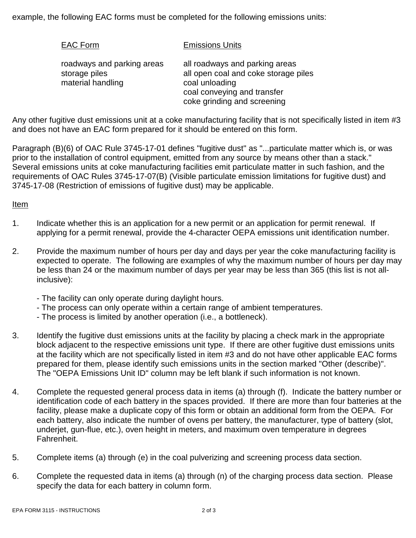example, the following EAC forms must be completed for the following emissions units:

| <b>EAC Form</b>                                                  | <b>Emissions Units</b>                                                                                                                                 |
|------------------------------------------------------------------|--------------------------------------------------------------------------------------------------------------------------------------------------------|
| roadways and parking areas<br>storage piles<br>material handling | all roadways and parking areas<br>all open coal and coke storage piles<br>coal unloading<br>coal conveying and transfer<br>coke grinding and screening |

Any other fugitive dust emissions unit at a coke manufacturing facility that is not specifically listed in item #3 and does not have an EAC form prepared for it should be entered on this form.

Paragraph (B)(6) of OAC Rule 3745-17-01 defines "fugitive dust" as "...particulate matter which is, or was prior to the installation of control equipment, emitted from any source by means other than a stack." Several emissions units at coke manufacturing facilities emit particulate matter in such fashion, and the requirements of OAC Rules 3745-17-07(B) (Visible particulate emission limitations for fugitive dust) and 3745-17-08 (Restriction of emissions of fugitive dust) may be applicable.

#### Item

- 1. Indicate whether this is an application for a new permit or an application for permit renewal. If applying for a permit renewal, provide the 4-character OEPA emissions unit identification number.
- 2. Provide the maximum number of hours per day and days per year the coke manufacturing facility is expected to operate. The following are examples of why the maximum number of hours per day may be less than 24 or the maximum number of days per year may be less than 365 (this list is not allinclusive):
	- The facility can only operate during daylight hours.
	- The process can only operate within a certain range of ambient temperatures.
	- The process is limited by another operation (i.e., a bottleneck).
- 3. Identify the fugitive dust emissions units at the facility by placing a check mark in the appropriate block adjacent to the respective emissions unit type. If there are other fugitive dust emissions units at the facility which are not specifically listed in item #3 and do not have other applicable EAC forms prepared for them, please identify such emissions units in the section marked "Other (describe)". The "OEPA Emissions Unit ID" column may be left blank if such information is not known.
- 4. Complete the requested general process data in items (a) through (f). Indicate the battery number or identification code of each battery in the spaces provided. If there are more than four batteries at the facility, please make a duplicate copy of this form or obtain an additional form from the OEPA. For each battery, also indicate the number of ovens per battery, the manufacturer, type of battery (slot, underjet, gun-flue, etc.), oven height in meters, and maximum oven temperature in degrees Fahrenheit.
- 5. Complete items (a) through (e) in the coal pulverizing and screening process data section.
- 6. Complete the requested data in items (a) through (n) of the charging process data section. Please specify the data for each battery in column form.